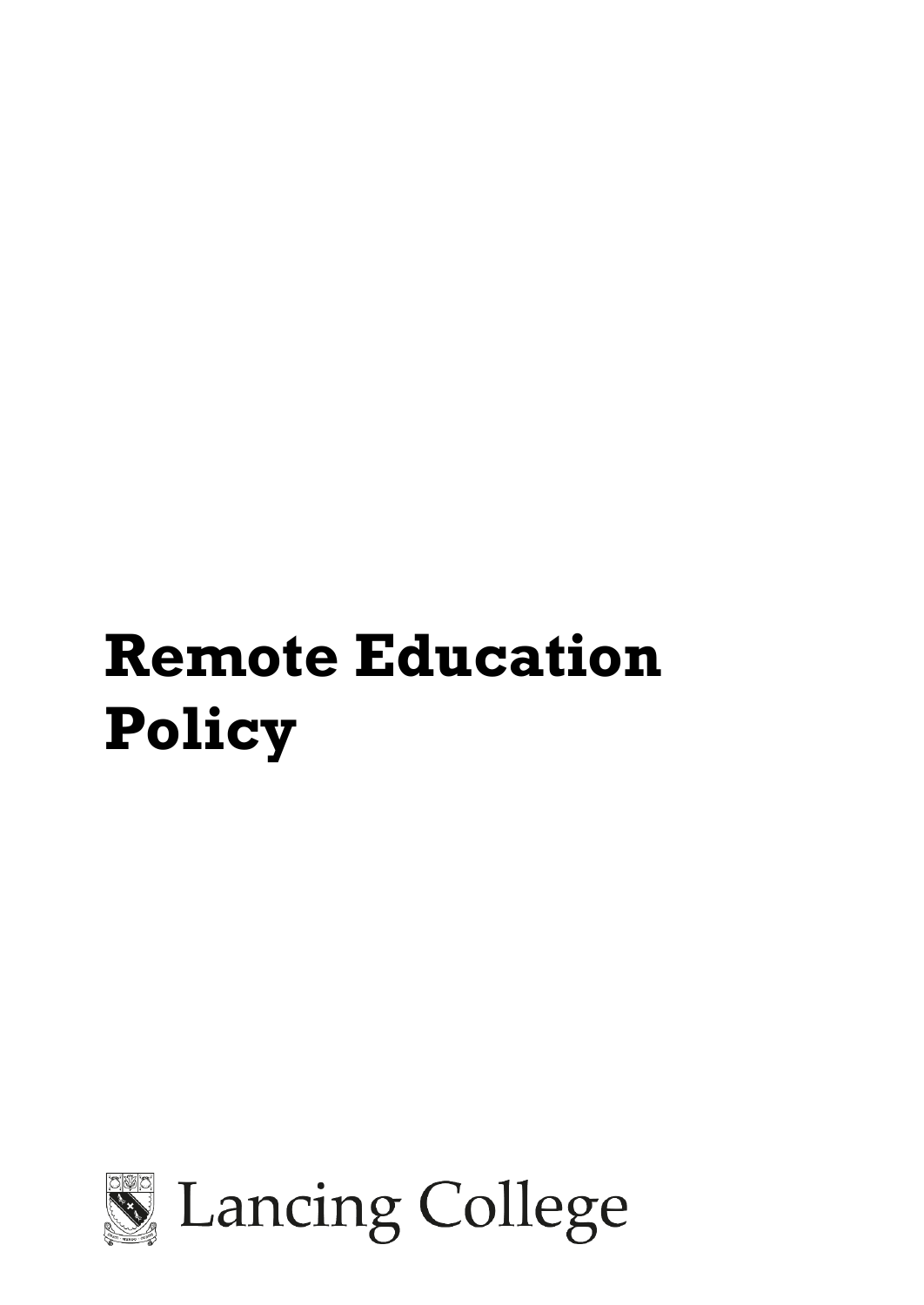# **Remote Education Policy**



Lancing College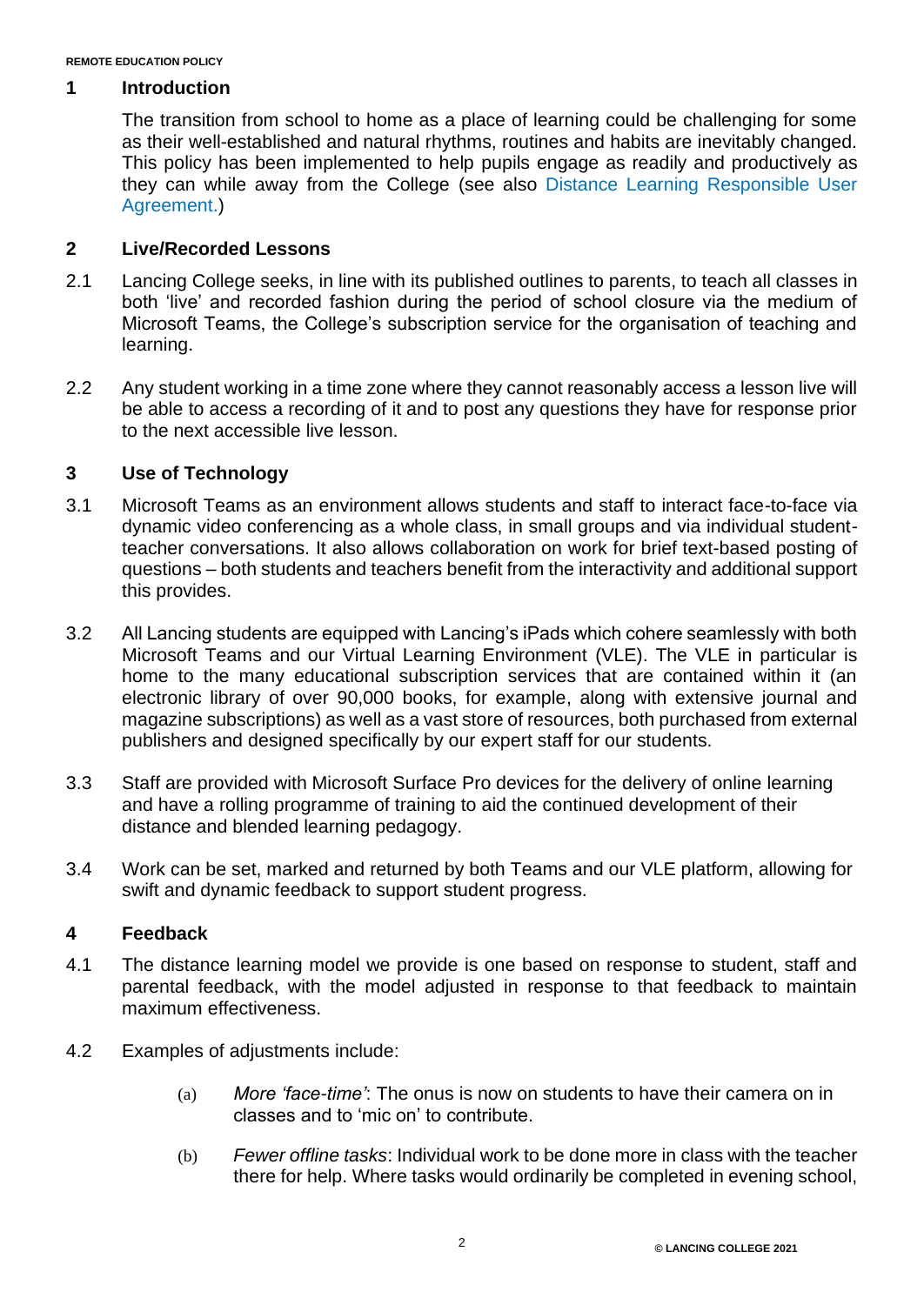#### **1 Introduction**

The transition from school to home as a place of learning could be challenging for some as their well-established and natural rhythms, routines and habits are inevitably changed. This policy has been implemented to help pupils engage as readily and productively as they can while away from the College (see also [Distance Learning Responsible User](https://lancing.fireflycloud.net/resource.aspx?id=246943&officeint=on)  [Agreement.](https://lancing.fireflycloud.net/resource.aspx?id=246943&officeint=on))

# **2 Live/Recorded Lessons**

- 2.1 Lancing College seeks, in line with its published outlines to parents, to teach all classes in both 'live' and recorded fashion during the period of school closure via the medium of Microsoft Teams, the College's subscription service for the organisation of teaching and learning.
- 2.2 Any student working in a time zone where they cannot reasonably access a lesson live will be able to access a recording of it and to post any questions they have for response prior to the next accessible live lesson.

## **3 Use of Technology**

- 3.1 Microsoft Teams as an environment allows students and staff to interact face-to-face via dynamic video conferencing as a whole class, in small groups and via individual studentteacher conversations. It also allows collaboration on work for brief text-based posting of questions – both students and teachers benefit from the interactivity and additional support this provides.
- 3.2 All Lancing students are equipped with Lancing's iPads which cohere seamlessly with both Microsoft Teams and our Virtual Learning Environment (VLE). The VLE in particular is home to the many educational subscription services that are contained within it (an electronic library of over 90,000 books, for example, along with extensive journal and magazine subscriptions) as well as a vast store of resources, both purchased from external publishers and designed specifically by our expert staff for our students.
- 3.3 Staff are provided with Microsoft Surface Pro devices for the delivery of online learning and have a rolling programme of training to aid the continued development of their distance and blended learning pedagogy.
- 3.4 Work can be set, marked and returned by both Teams and our VLE platform, allowing for swift and dynamic feedback to support student progress.

## **4 Feedback**

- 4.1 The distance learning model we provide is one based on response to student, staff and parental feedback, with the model adjusted in response to that feedback to maintain maximum effectiveness.
- 4.2 Examples of adjustments include:
	- (a) *More 'face-time'*: The onus is now on students to have their camera on in classes and to 'mic on' to contribute.
	- (b) *Fewer offline tasks*: Individual work to be done more in class with the teacher there for help. Where tasks would ordinarily be completed in evening school,